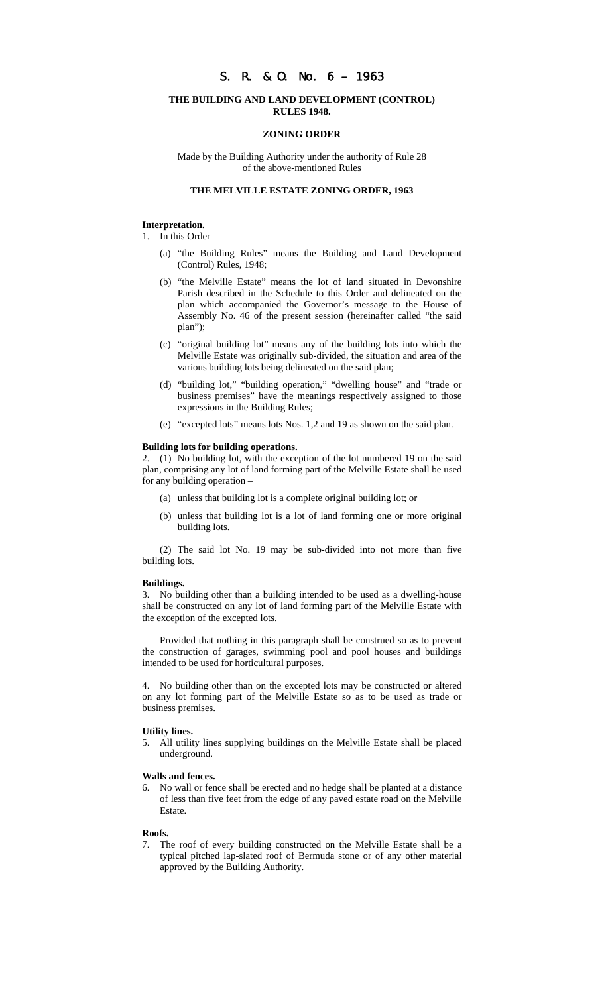# S. R. & O. No. 6 – 1963

## **THE BUILDING AND LAND DEVELOPMENT (CONTROL) RULES 1948.**

#### **ZONING ORDER**

Made by the Building Authority under the authority of Rule 28 of the above-mentioned Rules

## **THE MELVILLE ESTATE ZONING ORDER, 1963**

### **Interpretation.**

- 1. In this Order
	- (a) "the Building Rules" means the Building and Land Development (Control) Rules, 1948;
	- (b) "the Melville Estate" means the lot of land situated in Devonshire Parish described in the Schedule to this Order and delineated on the plan which accompanied the Governor's message to the House of Assembly No. 46 of the present session (hereinafter called "the said plan");
	- (c) "original building lot" means any of the building lots into which the Melville Estate was originally sub-divided, the situation and area of the various building lots being delineated on the said plan;
	- (d) "building lot," "building operation," "dwelling house" and "trade or business premises" have the meanings respectively assigned to those expressions in the Building Rules;
	- (e) "excepted lots" means lots Nos. 1,2 and 19 as shown on the said plan.

#### **Building lots for building operations.**

2. (1) No building lot, with the exception of the lot numbered 19 on the said plan, comprising any lot of land forming part of the Melville Estate shall be used for any building operation –

- (a) unless that building lot is a complete original building lot; or
- (b) unless that building lot is a lot of land forming one or more original building lots.

(2) The said lot No. 19 may be sub-divided into not more than five building lots.

#### **Buildings.**

3. No building other than a building intended to be used as a dwelling-house shall be constructed on any lot of land forming part of the Melville Estate with the exception of the excepted lots.

Provided that nothing in this paragraph shall be construed so as to prevent the construction of garages, swimming pool and pool houses and buildings intended to be used for horticultural purposes.

4. No building other than on the excepted lots may be constructed or altered on any lot forming part of the Melville Estate so as to be used as trade or business premises.

#### **Utility lines.**

5. All utility lines supplying buildings on the Melville Estate shall be placed underground.

### **Walls and fences.**

No wall or fence shall be erected and no hedge shall be planted at a distance of less than five feet from the edge of any paved estate road on the Melville Estate.

#### **Roofs.**

The roof of every building constructed on the Melville Estate shall be a typical pitched lap-slated roof of Bermuda stone or of any other material approved by the Building Authority.